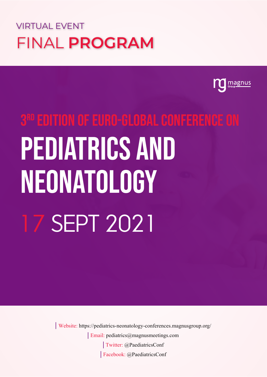### VIRTUAL EVENT FINAL **PROGRAM**



# 3rd Edition of Euro-Global Conference on Pediatrics and NEONATOLOGY 17 Sept 2021

Twitter: @PaediatricsConf Email: pediatrics@magnusmeetings.com Facebook: @PaediatricsConf Website: https://pediatrics-neonatology-conferences.magnusgroup.org/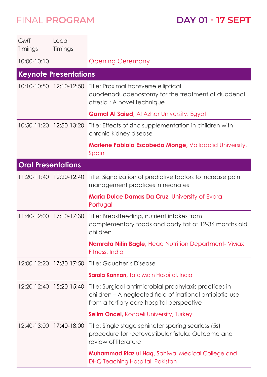**DAY 01 - 17 SEPT**

| <b>GMT</b><br>Timings     | Local<br>Timings             |                                                                                                                                                                  |
|---------------------------|------------------------------|------------------------------------------------------------------------------------------------------------------------------------------------------------------|
| 10:00-10:10               |                              | <b>Opening Ceremony</b>                                                                                                                                          |
|                           | <b>Keynote Presentations</b> |                                                                                                                                                                  |
|                           |                              | 10:10-10:50 12:10-12:50 Title: Proximal transverse elliptical<br>duodenoduodenostomy for the treatment of duodenal<br>atresia : A novel technique                |
|                           |                              | <b>Gamal Al Saied, Al Azhar University, Egypt</b>                                                                                                                |
|                           |                              | 10:50-11:20 12:50-13:20 Title: Effects of zinc supplementation in children with<br>chronic kidney disease                                                        |
|                           |                              | <b>Marlene Fabiola Escobedo Monge, Valladolid University,</b><br>Spain                                                                                           |
| <b>Oral Presentations</b> |                              |                                                                                                                                                                  |
|                           | 11:20-11:40 12:20-12:40      | Title: Signalization of predictive factors to increase pain<br>management practices in neonates                                                                  |
|                           |                              | Maria Dulce Damas Da Cruz, University of Evora,<br>Portugal                                                                                                      |
| $11:40-12:00$             |                              | 17:10-17:30 Title: Breastfeeding, nutrient intakes from<br>complementary foods and body fat of 12-36 months old<br>children                                      |
|                           |                              | <b>Namrata Nitin Bagle, Head Nutrition Department- VMax</b><br>Fitness, India                                                                                    |
|                           |                              |                                                                                                                                                                  |
|                           |                              | Sarala Kannan, Tata Main Hospital, India                                                                                                                         |
|                           | 12:20-12:40 15:20-15:40      | Title: Surgical antimicrobial prophylaxis practices in<br>children – A neglected field of irrational antibiotic use<br>from a tertiary care hospital perspective |
|                           |                              | <b>Selim Oncel, Kocaeli University, Turkey</b>                                                                                                                   |
|                           | 12:40-13:00 17:40-18:00      | Title: Single stage sphincter sparing scarless (5s)<br>procedure for rectovestibular fistula: Outcome and<br>review of literature                                |
|                           |                              | <b>Muhammad Riaz ul Haq,</b> Sahiwal Medical College and<br><b>DHQ Teaching Hospital, Pakistan</b>                                                               |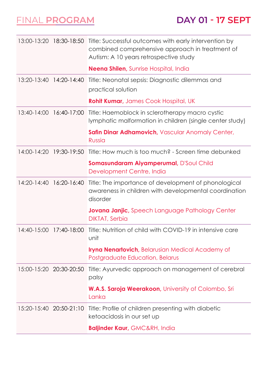|                 |                         | 13:00-13:20 18:30-18:50 Title: Successful outcomes with early intervention by<br>combined comprehensive approach in treatment of<br>Autism: A 10 years retrospective study |
|-----------------|-------------------------|----------------------------------------------------------------------------------------------------------------------------------------------------------------------------|
|                 |                         | <b>Neena Shilen, Sunrise Hospital, India</b>                                                                                                                               |
|                 | 13:20-13:40 14:20-14:40 | Title: Neonatal sepsis: Diagnostic dilemmas and<br>practical solution                                                                                                      |
|                 |                         | <b>Rohit Kumar, James Cook Hospital, UK</b>                                                                                                                                |
|                 | 13:40-14:00 16:40-17:00 | Title: Haemoblock in sclerotherapy macro cystic<br>lymphatic malformation in children (single center study)                                                                |
|                 |                         | Safin Dinar Adhamovich, Vascular Anomaly Center,<br>Russia                                                                                                                 |
|                 | 14:00-14:20 19:30-19:50 | Title: How much is too much? - Screen time debunked                                                                                                                        |
|                 |                         | Somasundaram Aiyamperumal, D'Soul Child<br>Development Centre, India                                                                                                       |
| $14:20 - 14:40$ | 16:20-16:40             | Title: The importance of development of phonological<br>awareness in children with developmental coordination<br>disorder                                                  |
|                 |                         | <b>Jovana Janjic</b> , Speech Language Pathology Center<br><b>DIKTAT, Serbia</b>                                                                                           |
| $14:40 - 15:00$ | 17:40-18:00             | Title: Nutrition of child with COVID-19 in intensive care<br>unit                                                                                                          |
|                 |                         | <b>Iryna Nenartovich</b> , Belarusian Medical Academy of<br>Postgraduate Education, Belarus                                                                                |
|                 | 15:00-15:20 20:30-20:50 | Title: Ayurvedic approach on management of cerebral<br>palsy                                                                                                               |
|                 |                         | <b>W.A.S. Saroja Weerakoon</b> , University of Colombo, Sri<br>Lanka                                                                                                       |
|                 | 15:20-15:40 20:50-21:10 | Title: Profile of children presenting with diabetic<br>ketoacidosis in our set up                                                                                          |
|                 |                         | <b>Baljinder Kaur, GMC&amp;RH, India</b>                                                                                                                                   |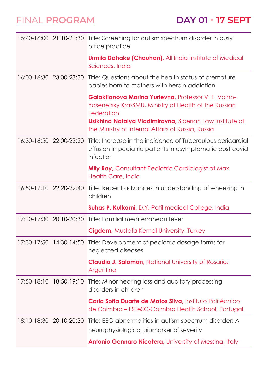|             |                         | 15:40-16:00 21:10-21:30 Title: Screening for autism spectrum disorder in busy<br>office practice                                                                                                                                               |
|-------------|-------------------------|------------------------------------------------------------------------------------------------------------------------------------------------------------------------------------------------------------------------------------------------|
|             |                         | <b>Urmila Dahake (Chauhan)</b> , All India Institute of Medical<br>Sciences, India                                                                                                                                                             |
|             | 16:00-16:30 23:00-23:30 | Title: Questions about the health status of premature<br>babies born to mothers with heroin addiction                                                                                                                                          |
|             |                         | Galaktionova Marina Yurievna, Professor V. F. Voino-<br>Yasenetsky KrasSMU, Ministry of Health of the Russian<br>Federation<br>Lisikhina Natalya Vladimirovna, Siberian Law Institute of<br>the Ministry of Internal Affairs of Russia, Russia |
|             | 16:30-16:50 22:00-22:20 | Title: Increase in the incidence of Tuberculous pericardial<br>effusion in pediatric patients in asymptomatic post covid<br>infection                                                                                                          |
|             |                         | <b>Mily Ray, Consultant Pediatric Cardiologist at Max</b><br>Health Care, India                                                                                                                                                                |
|             | 16:50-17:10 22:20-22:40 | Title: Recent advances in understanding of wheezing in<br>children                                                                                                                                                                             |
|             |                         | <b>Suhas P. Kulkarni, D.Y. Patil medical College, India</b>                                                                                                                                                                                    |
|             | 17:10-17:30 20:10-20:30 | Title: Familial mediterranean fever                                                                                                                                                                                                            |
|             |                         | <b>Cigdem, Mustafa Kemal University, Turkey</b>                                                                                                                                                                                                |
|             | 17:30-17:50 14:30-14:50 | Title: Development of pediatric dosage forms for<br>neglected diseases                                                                                                                                                                         |
|             |                         | <b>Claudio J. Salomon</b> , National University of Rosario,<br>Argentina                                                                                                                                                                       |
|             |                         |                                                                                                                                                                                                                                                |
| 17:50-18:10 | 18:50-19:10             | Title: Minor hearing loss and auditory processing<br>disorders in children                                                                                                                                                                     |
|             |                         | Carla Sofia Duarte de Matos Silva, Instituto Politécnico<br>de Coimbra – ESTeSC-Coimbra Health School, Portugal                                                                                                                                |
|             | 18:10-18:30 20:10-20:30 | Title: EEG abnormalities in autism spectrum disorder: A                                                                                                                                                                                        |
|             |                         | neurophysiological biomarker of severity                                                                                                                                                                                                       |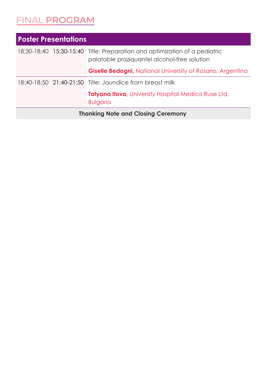| <b>Poster Presentations</b>               |  |                                                                                                                            |  |  |  |
|-------------------------------------------|--|----------------------------------------------------------------------------------------------------------------------------|--|--|--|
|                                           |  | 18:30-18:40 15:30-15:40 Title: Preparation and optimization of a pediatric<br>palatable praziquantel alcohol-free solution |  |  |  |
|                                           |  | <b>Giselle Bedogni, National University of Rosario, Argentina</b>                                                          |  |  |  |
|                                           |  | 18:40-18:50 21:40-21:50 Title: Jaundice from breast milk                                                                   |  |  |  |
|                                           |  | <b>Tatyana Itova</b> , University Hospital Medica Ruse Ltd,<br><b>Bulgaria</b>                                             |  |  |  |
| <b>Thanking Note and Closing Ceremony</b> |  |                                                                                                                            |  |  |  |